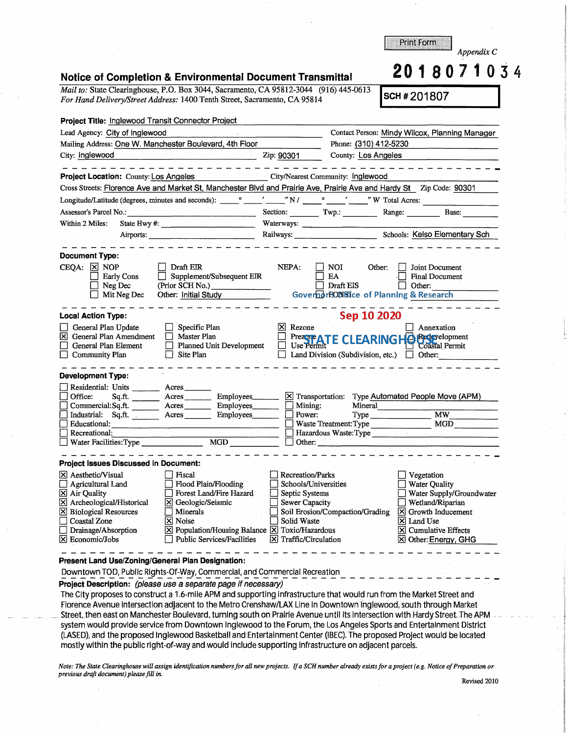|                                                                                                                                                                                                                                                                                                                                                                                      | <b>Print Form</b><br>Appendix C                                                                                                                                                                                                                                                                                                                                                                                     |  |  |  |
|--------------------------------------------------------------------------------------------------------------------------------------------------------------------------------------------------------------------------------------------------------------------------------------------------------------------------------------------------------------------------------------|---------------------------------------------------------------------------------------------------------------------------------------------------------------------------------------------------------------------------------------------------------------------------------------------------------------------------------------------------------------------------------------------------------------------|--|--|--|
| <b>Notice of Completion &amp; Environmental Document Transmittal</b>                                                                                                                                                                                                                                                                                                                 | 2018071034                                                                                                                                                                                                                                                                                                                                                                                                          |  |  |  |
| Mail to: State Clearinghouse, P.O. Box 3044, Sacramento, CA 95812-3044 (916) 445-0613<br>For Hand Delivery/Street Address: 1400 Tenth Street, Sacramento, CA 95814                                                                                                                                                                                                                   | SCH #201807                                                                                                                                                                                                                                                                                                                                                                                                         |  |  |  |
| Project Title: Inglewood Transit Connector Project                                                                                                                                                                                                                                                                                                                                   |                                                                                                                                                                                                                                                                                                                                                                                                                     |  |  |  |
| Lead Agency: City of Inglewood                                                                                                                                                                                                                                                                                                                                                       | Contact Person: Mindy Wilcox, Planning Manager                                                                                                                                                                                                                                                                                                                                                                      |  |  |  |
| Mailing Address: One W. Manchester Boulevard, 4th Floor                                                                                                                                                                                                                                                                                                                              | Phone: (310) 412-5230                                                                                                                                                                                                                                                                                                                                                                                               |  |  |  |
| City: Inglewood                                                                                                                                                                                                                                                                                                                                                                      | $\frac{\text{Zip: } 90301}{\text{Up: } 90301}$<br>County: Los Angeles                                                                                                                                                                                                                                                                                                                                               |  |  |  |
| المواضي المواضي المواضي المواضي<br>Project Location: County: Los Angeles                                                                                                                                                                                                                                                                                                             | City/Nearest Community: Inglewood                                                                                                                                                                                                                                                                                                                                                                                   |  |  |  |
|                                                                                                                                                                                                                                                                                                                                                                                      | Cross Streets: Florence Ave and Market St, Manchester Blvd and Prairie Ave, Prairie Ave and Hardy St Zip Code: 90301                                                                                                                                                                                                                                                                                                |  |  |  |
|                                                                                                                                                                                                                                                                                                                                                                                      |                                                                                                                                                                                                                                                                                                                                                                                                                     |  |  |  |
| Assessor's Parcel No.: 1986. [19] Mo. 2014                                                                                                                                                                                                                                                                                                                                           | Section: Twp.: Range: Base:                                                                                                                                                                                                                                                                                                                                                                                         |  |  |  |
| Within 2 Miles:<br>State Hwy #: $\qquad \qquad$                                                                                                                                                                                                                                                                                                                                      |                                                                                                                                                                                                                                                                                                                                                                                                                     |  |  |  |
| Airports:                                                                                                                                                                                                                                                                                                                                                                            |                                                                                                                                                                                                                                                                                                                                                                                                                     |  |  |  |
|                                                                                                                                                                                                                                                                                                                                                                                      |                                                                                                                                                                                                                                                                                                                                                                                                                     |  |  |  |
| <b>Document Type:</b>                                                                                                                                                                                                                                                                                                                                                                |                                                                                                                                                                                                                                                                                                                                                                                                                     |  |  |  |
| $CEQA: \times NOP$<br>  Draft EIR<br>Supplement/Subsequent EIR<br><b>Early Cons</b><br>$\Box$<br>(Prior SCH No.)<br>Neg Dec<br>Other: Initial Study<br>Mit Neg Dec                                                                                                                                                                                                                   | NEPA:<br>$\overline{\phantom{a}}$ NOI<br>Other:<br>Joint Document<br>EA<br><b>Final Document</b><br>$\Box$ Draft EIS<br>Other:<br>Governorf ONStice of Planning & Research                                                                                                                                                                                                                                          |  |  |  |
| Sep 10 2020<br><b>Local Action Type:</b><br>General Plan Update<br>Specific Plan<br>$ X $ Rezone<br>Annexation<br>General Plan Amendment<br>Master Plan<br>lxl<br>Prezone ATE CLEARINGHO By Speelopment<br>Use Permit<br>Planned Unit Development<br>General Plan Element<br>Site Plan<br>Land Division (Subdivision, etc.) $\Box$ Other:<br>Community Plan                          |                                                                                                                                                                                                                                                                                                                                                                                                                     |  |  |  |
| <b>Development Type:</b>                                                                                                                                                                                                                                                                                                                                                             |                                                                                                                                                                                                                                                                                                                                                                                                                     |  |  |  |
| Residential: Units<br>Acres<br>Acres Employees<br>Office:<br>Sq.ft.<br>Commercial:Sq.ft.<br>Acres<br>Acres<br>Industrial: Sq.ft.<br>Educational:<br>Recreational:<br><b>MGD</b><br>Water Facilities: Type                                                                                                                                                                            | X Transportation: Type Automated People Move (APM)<br><b>Employees</b><br>Mining:<br>Mineral<br>$\overline{MW}$<br>Employees<br>Power:<br>MGD<br>Waste Treatment: Type<br>Hazardous Waste: Type<br>Other:                                                                                                                                                                                                           |  |  |  |
| <b>Project Issues Discussed in Document:</b>                                                                                                                                                                                                                                                                                                                                         |                                                                                                                                                                                                                                                                                                                                                                                                                     |  |  |  |
| $\boxtimes$ Aesthetic/Visual<br>Fiscal<br>Agricultural Land<br><b>Flood Plain/Flooding</b><br>Forest Land/Fire Hazard<br>$\mathbf{X}$ Air Quality<br>Archeological/Historical<br>Geologic/Seismic<br>×l<br>×<br>X Biological Resources<br>Minerals<br>Coastal Zone<br>X Noise<br>Drainage/Absorption<br><b>Public Services/Facilities</b><br>$ \overline{\mathsf{x}} $ Economic/Jobs | Recreation/Parks<br>Vegetation<br>Schools/Universities<br><b>Water Quality</b><br>Water Supply/Groundwater<br>Septic Systems<br>Sewer Capacity<br>Wetland/Riparian<br>Soil Erosion/Compaction/Grading<br>I×l<br>Growth Inducement<br>Solid Waste<br>$ X $ Land Use<br>X Population/Housing Balance X Toxic/Hazardous<br>I×l<br><b>Cumulative Effects</b><br>X Traffic/Circulation<br>$\boxtimes$ Other: Energy, GHG |  |  |  |
| Present Land Use/Zoning/General Plan Designation:<br>Downtown TOD, Public Rights-Of-Way, Commercial, and Commercial Recreation                                                                                                                                                                                                                                                       |                                                                                                                                                                                                                                                                                                                                                                                                                     |  |  |  |

**Project Description:** (please use a separate page if necessary)

The City proposes to construct a 1.6-mile APM and supporting infrastructure that would run from the Market Street and Florence Avenue intersection adjacent to the Metro Crenshaw/LAX Line in Downtown Inglewood, south through Market Street, then east on Manchester Boulevard, turning south on Prairie Avenue until Its Intersection with Hardy Street. The APM system would provide service from Downtown Inglewood to the Forum, the Los Angeles Sports and Entertainment District (LASED), and the proposed Inglewood Basketball and Entertainment Center (IBEC). The proposed Project would be located mostly within the public right-of-way and would include supporting infrastructure on adjacent parcels.

*Note: The State Clearinghouse will assign identification numbers for all new projects. If a SCH number already exists for a project ( e.g. Notice of Preparation or previous draft document) please.fill* in.

Revised 2010